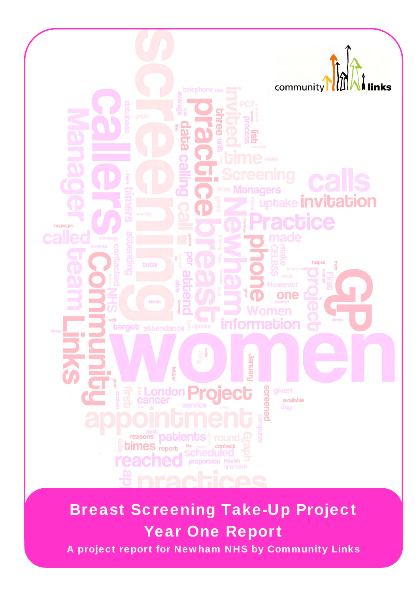

# Breast Screening Take-Up Project Year One Report

A project report for Newham NHS by Community Links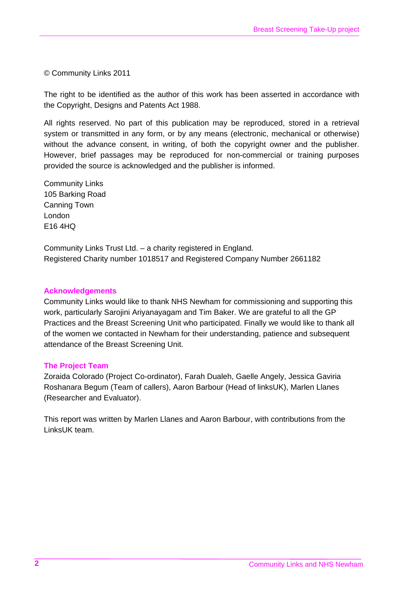© Community Links 2011

The right to be identified as the author of this work has been asserted in accordance with the Copyright, Designs and Patents Act 1988.

All rights reserved. No part of this publication may be reproduced, stored in a retrieval system or transmitted in any form, or by any means (electronic, mechanical or otherwise) without the advance consent, in writing, of both the copyright owner and the publisher. However, brief passages may be reproduced for non-commercial or training purposes provided the source is acknowledged and the publisher is informed.

Community Links 105 Barking Road Canning Town London E16 4HQ

Community Links Trust Ltd. – a charity registered in England. Registered Charity number 1018517 and Registered Company Number 2661182

#### **Acknowledgements**

Community Links would like to thank NHS Newham for commissioning and supporting this work, particularly Sarojini Ariyanayagam and Tim Baker. We are grateful to all the GP Practices and the Breast Screening Unit who participated. Finally we would like to thank all of the women we contacted in Newham for their understanding, patience and subsequent attendance of the Breast Screening Unit.

#### **The Project Team**

Zoraida Colorado (Project Co-ordinator), Farah Dualeh, Gaelle Angely, Jessica Gaviria Roshanara Begum (Team of callers), Aaron Barbour (Head of linksUK), Marlen Llanes (Researcher and Evaluator).

This report was written by Marlen Llanes and Aaron Barbour, with contributions from the LinksUK team.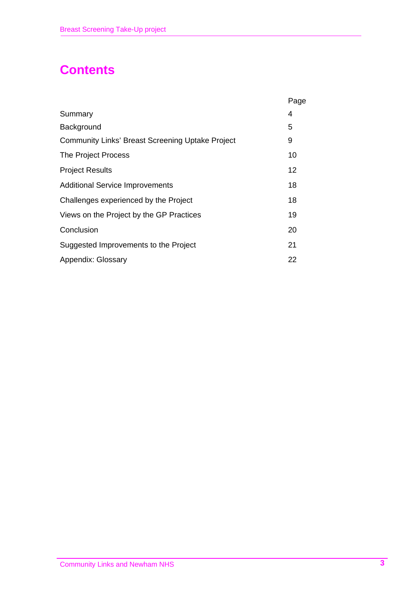## **Contents**

|                                                         | Page |
|---------------------------------------------------------|------|
| Summary                                                 | 4    |
| Background                                              | 5    |
| <b>Community Links' Breast Screening Uptake Project</b> | 9    |
| The Project Process                                     | 10   |
| <b>Project Results</b>                                  | 12   |
| <b>Additional Service Improvements</b>                  | 18   |
| Challenges experienced by the Project                   | 18   |
| Views on the Project by the GP Practices                | 19   |
| Conclusion                                              | 20   |
| Suggested Improvements to the Project                   | 21   |
| Appendix: Glossary                                      | 22   |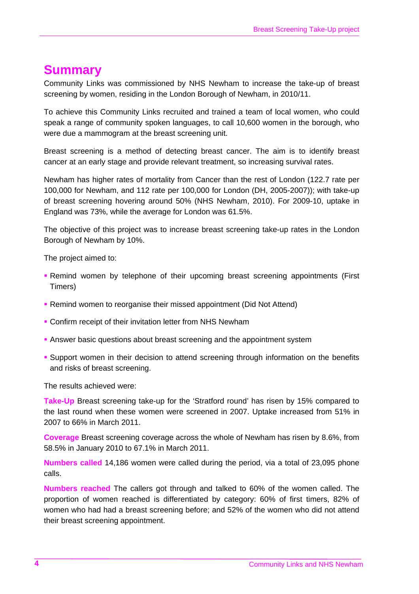### **Summary**

Community Links was commissioned by NHS Newham to increase the take-up of breast screening by women, residing in the London Borough of Newham, in 2010/11.

To achieve this Community Links recruited and trained a team of local women, who could speak a range of community spoken languages, to call 10,600 women in the borough, who were due a mammogram at the breast screening unit.

Breast screening is a method of detecting breast cancer. The aim is to identify breast cancer at an early stage and provide relevant treatment, so increasing survival rates.

Newham has higher rates of mortality from Cancer than the rest of London (122.7 rate per 100,000 for Newham, and 112 rate per 100,000 for London (DH, 2005-2007)); with take-up of breast screening hovering around 50% (NHS Newham, 2010). For 2009-10, uptake in England was 73%, while the average for London was 61.5%.

The objective of this project was to increase breast screening take-up rates in the London Borough of Newham by 10%.

The project aimed to:

- Remind women by telephone of their upcoming breast screening appointments (First Timers)
- Remind women to reorganise their missed appointment (Did Not Attend)
- **Confirm receipt of their invitation letter from NHS Newham**
- **Answer basic questions about breast screening and the appointment system**
- Support women in their decision to attend screening through information on the benefits and risks of breast screening.

The results achieved were:

**Take-Up** Breast screening take-up for the 'Stratford round' has risen by 15% compared to the last round when these women were screened in 2007. Uptake increased from 51% in 2007 to 66% in March 2011.

**Coverage** Breast screening coverage across the whole of Newham has risen by 8.6%, from 58.5% in January 2010 to 67.1% in March 2011.

**Numbers called** 14,186 women were called during the period, via a total of 23,095 phone calls.

**Numbers reached** The callers got through and talked to 60% of the women called. The proportion of women reached is differentiated by category: 60% of first timers, 82% of women who had had a breast screening before; and 52% of the women who did not attend their breast screening appointment.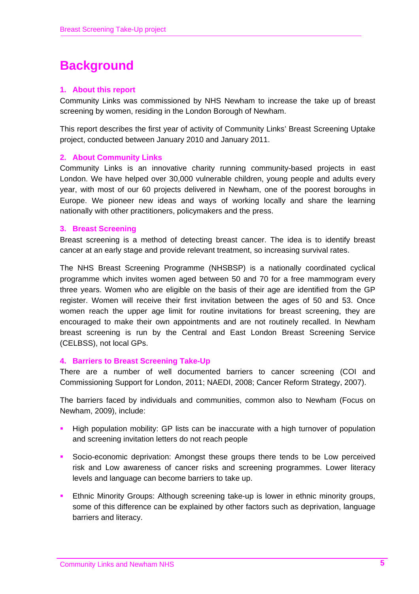## **Background**

#### **1. About this report**

Community Links was commissioned by NHS Newham to increase the take up of breast screening by women, residing in the London Borough of Newham.

This report describes the first year of activity of Community Links' Breast Screening Uptake project, conducted between January 2010 and January 2011.

#### **2. About Community Links**

Community Links is an innovative charity running community-based projects in east London. We have helped over 30,000 vulnerable children, young people and adults every year, with most of our 60 projects delivered in Newham, one of the poorest boroughs in Europe. We pioneer new ideas and ways of working locally and share the learning nationally with other practitioners, policymakers and the press.

#### **3. Breast Screening**

Breast screening is a method of detecting breast cancer. The idea is to identify breast cancer at an early stage and provide relevant treatment, so increasing survival rates.

The NHS Breast Screening Programme (NHSBSP) is a nationally coordinated cyclical programme which invites women aged between 50 and 70 for a free mammogram every three years. Women who are eligible on the basis of their age are identified from the GP register. Women will receive their first invitation between the ages of 50 and 53. Once women reach the upper age limit for routine invitations for breast screening, they are encouraged to make their own appointments and are not routinely recalled. In Newham breast screening is run by the Central and East London Breast Screening Service (CELBSS), not local GPs.

#### **4. Barriers to Breast Screening Take-Up**

There are a number of well documented barriers to cancer screening (COI and Commissioning Support for London, 2011; NAEDI, 2008; Cancer Reform Strategy, 2007).

The barriers faced by individuals and communities, common also to Newham (Focus on Newham, 2009), include:

- High population mobility: GP lists can be inaccurate with a high turnover of population and screening invitation letters do not reach people
- Socio-economic deprivation: Amongst these groups there tends to be Low perceived risk and Low awareness of cancer risks and screening programmes. Lower literacy levels and language can become barriers to take up.
- **Ethnic Minority Groups: Although screening take-up is lower in ethnic minority groups,** some of this difference can be explained by other factors such as deprivation, language barriers and literacy.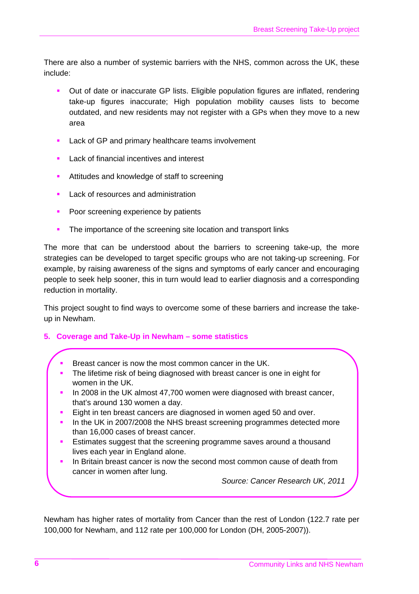There are also a number of systemic barriers with the NHS, common across the UK, these include:

- Out of date or inaccurate GP lists. Eligible population figures are inflated, rendering take-up figures inaccurate; High population mobility causes lists to become outdated, and new residents may not register with a GPs when they move to a new area
- Lack of GP and primary healthcare teams involvement
- Lack of financial incentives and interest
- **Attitudes and knowledge of staff to screening**
- Lack of resources and administration
- **Poor screening experience by patients**
- The importance of the screening site location and transport links

The more that can be understood about the barriers to screening take-up, the more strategies can be developed to target specific groups who are not taking-up screening. For example, by raising awareness of the signs and symptoms of early cancer and encouraging people to seek help sooner, this in turn would lead to earlier diagnosis and a corresponding reduction in mortality.

This project sought to find ways to overcome some of these barriers and increase the takeup in Newham.

#### **5. Coverage and Take-Up in Newham – some statistics**

- Breast cancer is now the most common cancer in the UK.
- The lifetime risk of being diagnosed with breast cancer is one in eight for women in the UK.
- In 2008 in the UK almost 47,700 women were diagnosed with breast cancer, that's around 130 women a day.
- Eight in ten breast cancers are diagnosed in women aged 50 and over.
- In the UK in 2007/2008 the NHS breast screening programmes detected more than 16,000 cases of breast cancer.
- Estimates suggest that the screening programme saves around a thousand lives each year in England alone.
- In Britain breast cancer is now the second most common cause of death from cancer in women after lung.

*Source: Cancer Research UK, 2011* 

Newham has higher rates of mortality from Cancer than the rest of London (122.7 rate per 100,000 for Newham, and 112 rate per 100,000 for London (DH, 2005-2007)).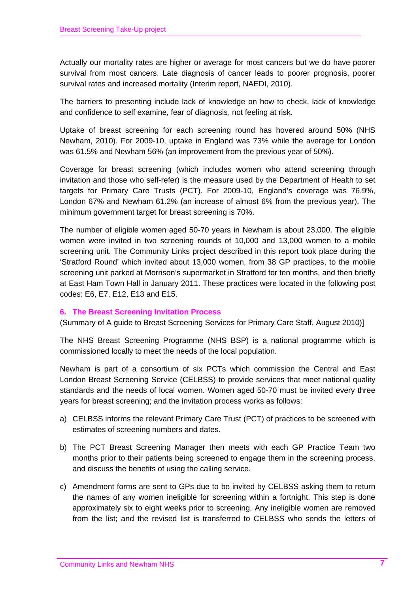Actually our mortality rates are higher or average for most cancers but we do have poorer survival from most cancers. Late diagnosis of cancer leads to poorer prognosis, poorer survival rates and increased mortality (Interim report, NAEDI, 2010).

The barriers to presenting include lack of knowledge on how to check, lack of knowledge and confidence to self examine, fear of diagnosis, not feeling at risk.

Uptake of breast screening for each screening round has hovered around 50% (NHS Newham, 2010). For 2009-10, uptake in England was 73% while the average for London was 61.5% and Newham 56% (an improvement from the previous year of 50%).

Coverage for breast screening (which includes women who attend screening through invitation and those who self-refer) is the measure used by the Department of Health to set targets for Primary Care Trusts (PCT). For 2009-10, England's coverage was 76.9%, London 67% and Newham 61.2% (an increase of almost 6% from the previous year). The minimum government target for breast screening is 70%.

The number of eligible women aged 50-70 years in Newham is about 23,000. The eligible women were invited in two screening rounds of 10,000 and 13,000 women to a mobile screening unit. The Community Links project described in this report took place during the 'Stratford Round' which invited about 13,000 women, from 38 GP practices, to the mobile screening unit parked at Morrison's supermarket in Stratford for ten months, and then briefly at East Ham Town Hall in January 2011. These practices were located in the following post codes: E6, E7, E12, E13 and E15.

#### **6. The Breast Screening Invitation Process**

(Summary of A guide to Breast Screening Services for Primary Care Staff, August 2010)]

The NHS Breast Screening Programme (NHS BSP) is a national programme which is commissioned locally to meet the needs of the local population.

Newham is part of a consortium of six PCTs which commission the Central and East London Breast Screening Service (CELBSS) to provide services that meet national quality standards and the needs of local women. Women aged 50-70 must be invited every three years for breast screening; and the invitation process works as follows:

- a) CELBSS informs the relevant Primary Care Trust (PCT) of practices to be screened with estimates of screening numbers and dates.
- b) The PCT Breast Screening Manager then meets with each GP Practice Team two months prior to their patients being screened to engage them in the screening process, and discuss the benefits of using the calling service.
- c) Amendment forms are sent to GPs due to be invited by CELBSS asking them to return the names of any women ineligible for screening within a fortnight. This step is done approximately six to eight weeks prior to screening. Any ineligible women are removed from the list; and the revised list is transferred to CELBSS who sends the letters of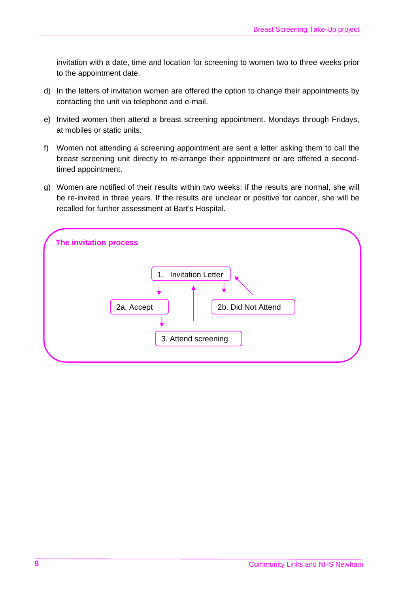invitation with a date, time and location for screening to women two to three weeks prior to the appointment date.

- d) In the letters of invitation women are offered the option to change their appointments by contacting the unit via telephone and e-mail.
- e) Invited women then attend a breast screening appointment. Mondays through Fridays, at mobiles or static units.
- f) Women not attending a screening appointment are sent a letter asking them to call the breast screening unit directly to re-arrange their appointment or are offered a secondtimed appointment.
- g) Women are notified of their results within two weeks; if the results are normal, she will be re-invited in three years. If the results are unclear or positive for cancer, she will be recalled for further assessment at Bart's Hospital.

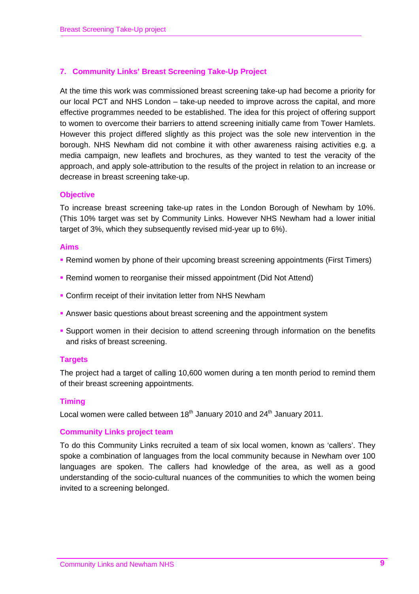#### **7. Community Links' Breast Screening Take-Up Project**

At the time this work was commissioned breast screening take-up had become a priority for our local PCT and NHS London – take-up needed to improve across the capital, and more effective programmes needed to be established. The idea for this project of offering support to women to overcome their barriers to attend screening initially came from Tower Hamlets. However this project differed slightly as this project was the sole new intervention in the borough. NHS Newham did not combine it with other awareness raising activities e.g. a media campaign, new leaflets and brochures, as they wanted to test the veracity of the approach, and apply sole-attribution to the results of the project in relation to an increase or decrease in breast screening take-up.

#### **Objective**

To increase breast screening take-up rates in the London Borough of Newham by 10%. (This 10% target was set by Community Links. However NHS Newham had a lower initial target of 3%, which they subsequently revised mid-year up to 6%).

#### **Aims**

- Remind women by phone of their upcoming breast screening appointments (First Timers)
- Remind women to reorganise their missed appointment (Did Not Attend)
- Confirm receipt of their invitation letter from NHS Newham
- **Answer basic questions about breast screening and the appointment system**
- **Support women in their decision to attend screening through information on the benefits** and risks of breast screening.

#### **Targets**

The project had a target of calling 10,600 women during a ten month period to remind them of their breast screening appointments.

#### **Timing**

Local women were called between  $18<sup>th</sup>$  January 2010 and  $24<sup>th</sup>$  January 2011.

#### **Community Links project team**

To do this Community Links recruited a team of six local women, known as 'callers'. They spoke a combination of languages from the local community because in Newham over 100 languages are spoken. The callers had knowledge of the area, as well as a good understanding of the socio-cultural nuances of the communities to which the women being invited to a screening belonged.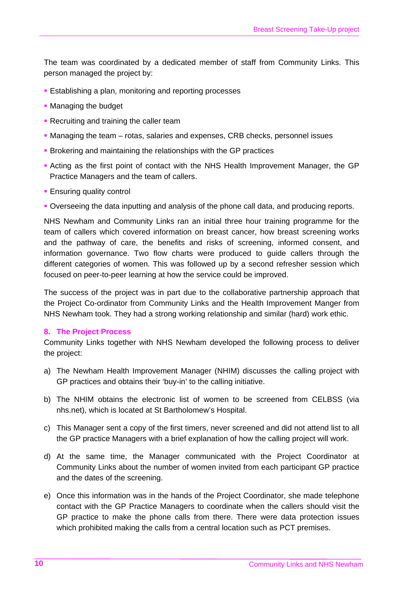The team was coordinated by a dedicated member of staff from Community Links. This person managed the project by:

- **Establishing a plan, monitoring and reporting processes**
- Managing the budget
- **Recruiting and training the caller team**
- Managing the team rotas, salaries and expenses, CRB checks, personnel issues
- **Brokering and maintaining the relationships with the GP practices**
- Acting as the first point of contact with the NHS Health Improvement Manager, the GP Practice Managers and the team of callers.
- **Ensuring quality control**
- Overseeing the data inputting and analysis of the phone call data, and producing reports.

NHS Newham and Community Links ran an initial three hour training programme for the team of callers which covered information on breast cancer, how breast screening works and the pathway of care, the benefits and risks of screening, informed consent, and information governance. Two flow charts were produced to guide callers through the different categories of women. This was followed up by a second refresher session which focused on peer-to-peer learning at how the service could be improved.

The success of the project was in part due to the collaborative partnership approach that the Project Co-ordinator from Community Links and the Health Improvement Manger from NHS Newham took. They had a strong working relationship and similar (hard) work ethic.

#### **8. The Project Process**

Community Links together with NHS Newham developed the following process to deliver the project:

- a) The Newham Health Improvement Manager (NHIM) discusses the calling project with GP practices and obtains their 'buy-in' to the calling initiative.
- b) The NHIM obtains the electronic list of women to be screened from CELBSS (via nhs.net), which is located at St Bartholomew's Hospital.
- c) This Manager sent a copy of the first timers, never screened and did not attend list to all the GP practice Managers with a brief explanation of how the calling project will work.
- d) At the same time, the Manager communicated with the Project Coordinator at Community Links about the number of women invited from each participant GP practice and the dates of the screening.
- e) Once this information was in the hands of the Project Coordinator, she made telephone contact with the GP Practice Managers to coordinate when the callers should visit the GP practice to make the phone calls from there. There were data protection issues which prohibited making the calls from a central location such as PCT premises.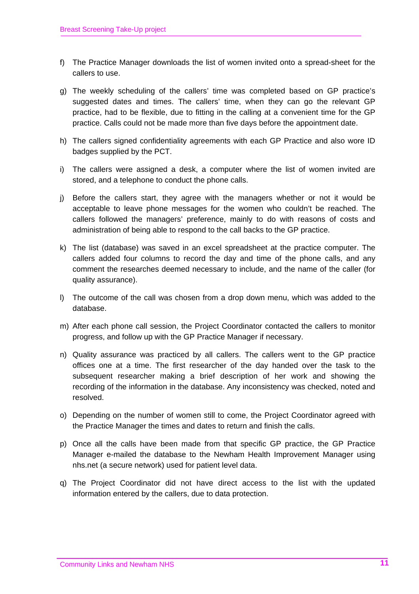- f) The Practice Manager downloads the list of women invited onto a spread-sheet for the callers to use.
- g) The weekly scheduling of the callers' time was completed based on GP practice's suggested dates and times. The callers' time, when they can go the relevant GP practice, had to be flexible, due to fitting in the calling at a convenient time for the GP practice. Calls could not be made more than five days before the appointment date.
- h) The callers signed confidentiality agreements with each GP Practice and also wore ID badges supplied by the PCT.
- i) The callers were assigned a desk, a computer where the list of women invited are stored, and a telephone to conduct the phone calls.
- j) Before the callers start, they agree with the managers whether or not it would be acceptable to leave phone messages for the women who couldn't be reached. The callers followed the managers' preference, mainly to do with reasons of costs and administration of being able to respond to the call backs to the GP practice.
- k) The list (database) was saved in an excel spreadsheet at the practice computer. The callers added four columns to record the day and time of the phone calls, and any comment the researches deemed necessary to include, and the name of the caller (for quality assurance).
- l) The outcome of the call was chosen from a drop down menu, which was added to the database.
- m) After each phone call session, the Project Coordinator contacted the callers to monitor progress, and follow up with the GP Practice Manager if necessary.
- n) Quality assurance was practiced by all callers. The callers went to the GP practice offices one at a time. The first researcher of the day handed over the task to the subsequent researcher making a brief description of her work and showing the recording of the information in the database. Any inconsistency was checked, noted and resolved.
- o) Depending on the number of women still to come, the Project Coordinator agreed with the Practice Manager the times and dates to return and finish the calls.
- p) Once all the calls have been made from that specific GP practice, the GP Practice Manager e-mailed the database to the Newham Health Improvement Manager using nhs.net (a secure network) used for patient level data.
- q) The Project Coordinator did not have direct access to the list with the updated information entered by the callers, due to data protection.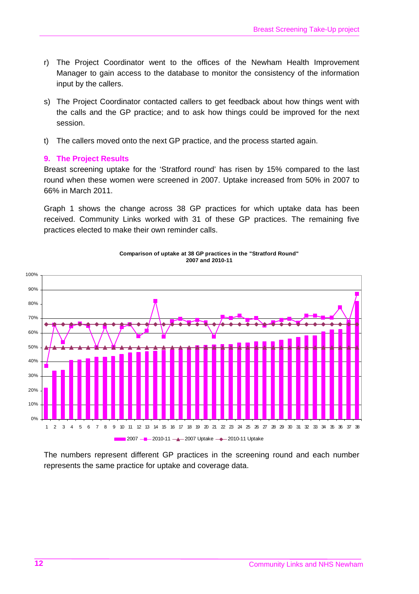- r) The Project Coordinator went to the offices of the Newham Health Improvement Manager to gain access to the database to monitor the consistency of the information input by the callers.
- s) The Project Coordinator contacted callers to get feedback about how things went with the calls and the GP practice; and to ask how things could be improved for the next session.
- t) The callers moved onto the next GP practice, and the process started again.

#### **9. The Project Results**

Breast screening uptake for the 'Stratford round' has risen by 15% compared to the last round when these women were screened in 2007. Uptake increased from 50% in 2007 to 66% in March 2011.

Graph 1 shows the change across 38 GP practices for which uptake data has been received. Community Links worked with 31 of these GP practices. The remaining five practices elected to make their own reminder calls.



**Comparison of uptake at 38 GP practices in the "Stratford Round" 2007 and 2010-11**

The numbers represent different GP practices in the screening round and each number represents the same practice for uptake and coverage data.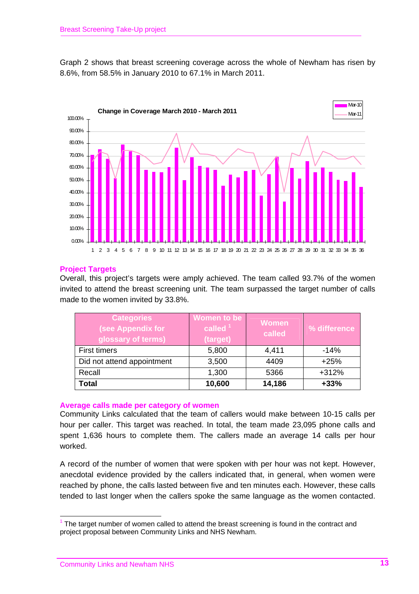Graph 2 shows that breast screening coverage across the whole of Newham has risen by 8.6%, from 58.5% in January 2010 to 67.1% in March 2011.



#### **Project Targets**

Overall, this project's targets were amply achieved. The team called 93.7% of the women invited to attend the breast screening unit. The team surpassed the target number of calls made to the women invited by 33.8%.

| <b>Categories</b><br>(see Appendix for<br>glossary of terms) | Women to be<br>called $1$<br>(target) | <b>Women</b><br>called | % difference |
|--------------------------------------------------------------|---------------------------------------|------------------------|--------------|
| <b>First timers</b>                                          | 5,800                                 | 4,411                  | $-14%$       |
| Did not attend appointment                                   | 3,500                                 | 4409                   | $+25%$       |
| Recall                                                       | 1,300                                 | 5366                   | $+312%$      |
| <b>Total</b>                                                 | 10,600                                | 14,186                 | $+33%$       |

#### **Average calls made per category of women**

Community Links calculated that the team of callers would make between 10-15 calls per hour per caller. This target was reached. In total, the team made 23,095 phone calls and spent 1,636 hours to complete them. The callers made an average 14 calls per hour worked.

A record of the number of women that were spoken with per hour was not kept. However, anecdotal evidence provided by the callers indicated that, in general, when women were reached by phone, the calls lasted between five and ten minutes each. However, these calls tended to last longer when the callers spoke the same language as the women contacted.

<sup>1</sup> The target number of women called to attend the breast screening is found in the contract and project proposal between Community Links and NHS Newham.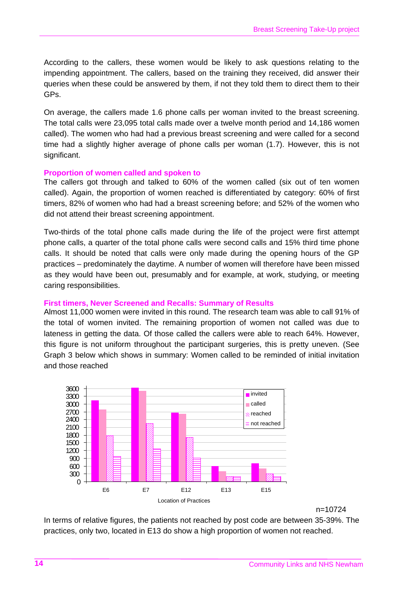According to the callers, these women would be likely to ask questions relating to the impending appointment. The callers, based on the training they received, did answer their queries when these could be answered by them, if not they told them to direct them to their GPs.

On average, the callers made 1.6 phone calls per woman invited to the breast screening. The total calls were 23,095 total calls made over a twelve month period and 14,186 women called). The women who had had a previous breast screening and were called for a second time had a slightly higher average of phone calls per woman (1.7). However, this is not significant.

#### **Proportion of women called and spoken to**

The callers got through and talked to 60% of the women called (six out of ten women called). Again, the proportion of women reached is differentiated by category: 60% of first timers, 82% of women who had had a breast screening before; and 52% of the women who did not attend their breast screening appointment.

Two-thirds of the total phone calls made during the life of the project were first attempt phone calls, a quarter of the total phone calls were second calls and 15% third time phone calls. It should be noted that calls were only made during the opening hours of the GP practices – predominately the daytime. A number of women will therefore have been missed as they would have been out, presumably and for example, at work, studying, or meeting caring responsibilities.

#### **First timers, Never Screened and Recalls: Summary of Results**

Almost 11,000 women were invited in this round. The research team was able to call 91% of the total of women invited. The remaining proportion of women not called was due to lateness in getting the data. Of those called the callers were able to reach 64%. However, this figure is not uniform throughout the participant surgeries, this is pretty uneven. (See Graph 3 below which shows in summary: Women called to be reminded of initial invitation and those reached



n=10724

In terms of relative figures, the patients not reached by post code are between 35-39%. The practices, only two, located in E13 do show a high proportion of women not reached.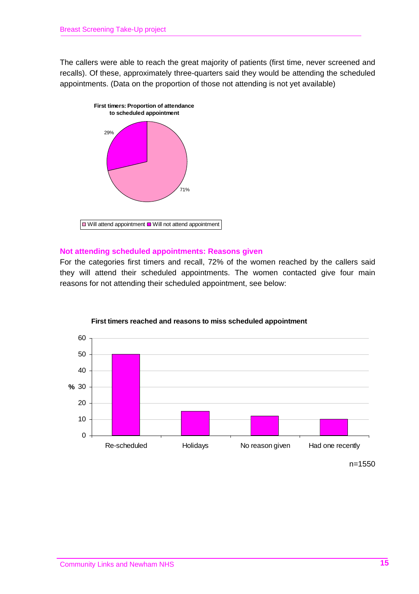The callers were able to reach the great majority of patients (first time, never screened and recalls). Of these, approximately three-quarters said they would be attending the scheduled appointments. (Data on the proportion of those not attending is not yet available)



#### **Not attending scheduled appointments: Reasons given**

For the categories first timers and recall, 72% of the women reached by the callers said they will attend their scheduled appointments. The women contacted give four main reasons for not attending their scheduled appointment, see below:



#### **First timers reached and reasons to miss scheduled appointment**

n=1550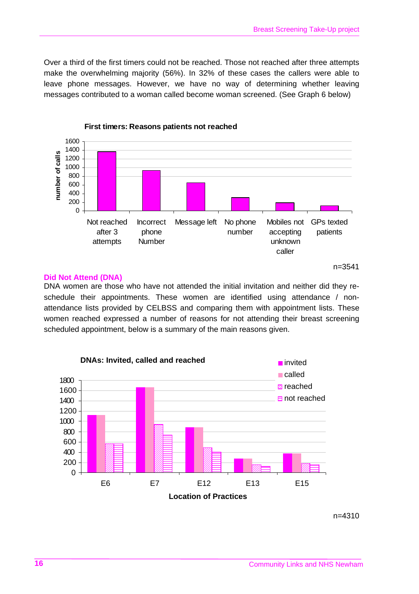Over a third of the first timers could not be reached. Those not reached after three attempts make the overwhelming majority (56%). In 32% of these cases the callers were able to leave phone messages. However, we have no way of determining whether leaving messages contributed to a woman called become woman screened. (See Graph 6 below)



#### **Did Not Attend (DNA)**

DNA women are those who have not attended the initial invitation and neither did they reschedule their appointments. These women are identified using attendance / nonattendance lists provided by CELBSS and comparing them with appointment lists. These women reached expressed a number of reasons for not attending their breast screening scheduled appointment, below is a summary of the main reasons given.



n=4310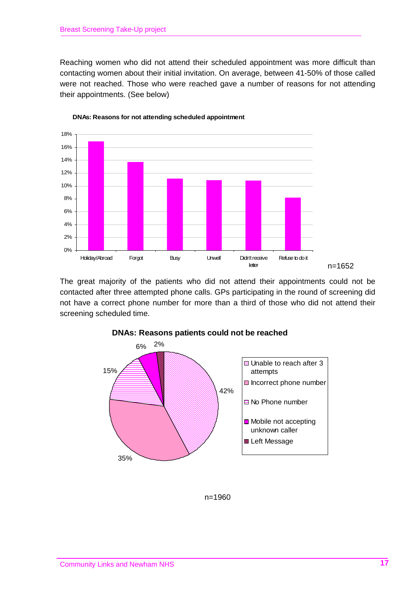Reaching women who did not attend their scheduled appointment was more difficult than contacting women about their initial invitation. On average, between 41-50% of those called were not reached. Those who were reached gave a number of reasons for not attending their appointments. (See below)



**DNAs: Reasons for not attending scheduled appointment**

The great majority of the patients who did not attend their appointments could not be contacted after three attempted phone calls. GPs participating in the round of screening did not have a correct phone number for more than a third of those who did not attend their screening scheduled time.



**DNAs: Reasons patients could not be reached**

n=1960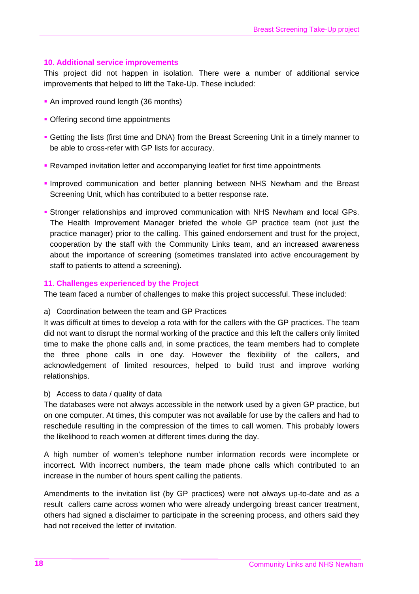#### **10. Additional service improvements**

This project did not happen in isolation. There were a number of additional service improvements that helped to lift the Take-Up. These included:

- An improved round length (36 months)
- Offering second time appointments
- Getting the lists (first time and DNA) from the Breast Screening Unit in a timely manner to be able to cross-refer with GP lists for accuracy.
- Revamped invitation letter and accompanying leaflet for first time appointments
- **Improved communication and better planning between NHS Newham and the Breast** Screening Unit, which has contributed to a better response rate.
- Stronger relationships and improved communication with NHS Newham and local GPs. The Health Improvement Manager briefed the whole GP practice team (not just the practice manager) prior to the calling. This gained endorsement and trust for the project, cooperation by the staff with the Community Links team, and an increased awareness about the importance of screening (sometimes translated into active encouragement by staff to patients to attend a screening).

#### **11. Challenges experienced by the Project**

The team faced a number of challenges to make this project successful. These included:

a) Coordination between the team and GP Practices

It was difficult at times to develop a rota with for the callers with the GP practices. The team did not want to disrupt the normal working of the practice and this left the callers only limited time to make the phone calls and, in some practices, the team members had to complete the three phone calls in one day. However the flexibility of the callers, and acknowledgement of limited resources, helped to build trust and improve working relationships.

#### b) Access to data / quality of data

The databases were not always accessible in the network used by a given GP practice, but on one computer. At times, this computer was not available for use by the callers and had to reschedule resulting in the compression of the times to call women. This probably lowers the likelihood to reach women at different times during the day.

A high number of women's telephone number information records were incomplete or incorrect. With incorrect numbers, the team made phone calls which contributed to an increase in the number of hours spent calling the patients.

Amendments to the invitation list (by GP practices) were not always up-to-date and as a result callers came across women who were already undergoing breast cancer treatment, others had signed a disclaimer to participate in the screening process, and others said they had not received the letter of invitation.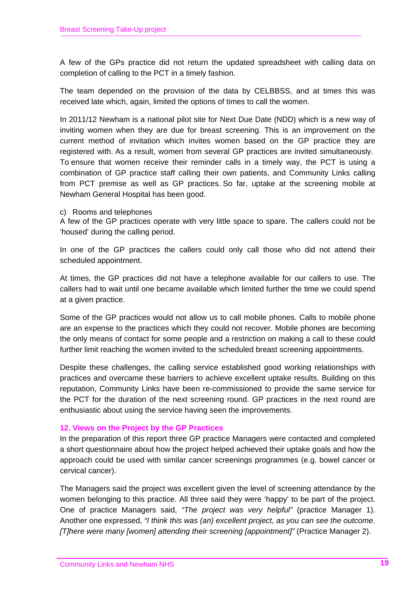A few of the GPs practice did not return the updated spreadsheet with calling data on completion of calling to the PCT in a timely fashion.

The team depended on the provision of the data by CELBBSS, and at times this was received late which, again, limited the options of times to call the women.

In 2011/12 Newham is a national pilot site for Next Due Date (NDD) which is a new way of inviting women when they are due for breast screening. This is an improvement on the current method of invitation which invites women based on the GP practice they are registered with. As a result, women from several GP practices are invited simultaneously. To ensure that women receive their reminder calls in a timely way, the PCT is using a combination of GP practice staff calling their own patients, and Community Links calling from PCT premise as well as GP practices. So far, uptake at the screening mobile at Newham General Hospital has been good.

#### c) Rooms and telephones

A few of the GP practices operate with very little space to spare. The callers could not be 'housed' during the calling period.

In one of the GP practices the callers could only call those who did not attend their scheduled appointment.

At times, the GP practices did not have a telephone available for our callers to use. The callers had to wait until one became available which limited further the time we could spend at a given practice.

Some of the GP practices would not allow us to call mobile phones. Calls to mobile phone are an expense to the practices which they could not recover. Mobile phones are becoming the only means of contact for some people and a restriction on making a call to these could further limit reaching the women invited to the scheduled breast screening appointments.

Despite these challenges, the calling service established good working relationships with practices and overcame these barriers to achieve excellent uptake results. Building on this reputation, Community Links have been re-commissioned to provide the same service for the PCT for the duration of the next screening round. GP practices in the next round are enthusiastic about using the service having seen the improvements.

#### **12. Views on the Project by the GP Practices**

In the preparation of this report three GP practice Managers were contacted and completed a short questionnaire about how the project helped achieved their uptake goals and how the approach could be used with similar cancer screenings programmes (e.g. bowel cancer or cervical cancer).

The Managers said the project was excellent given the level of screening attendance by the women belonging to this practice. All three said they were 'happy' to be part of the project. One of practice Managers said, *"The project was very helpful"* (practice Manager 1). Another one expressed, *"I think this was (an) excellent project, as you can see the outcome. [T]here were many [women] attending their screening [appointment]"* (Practice Manager 2).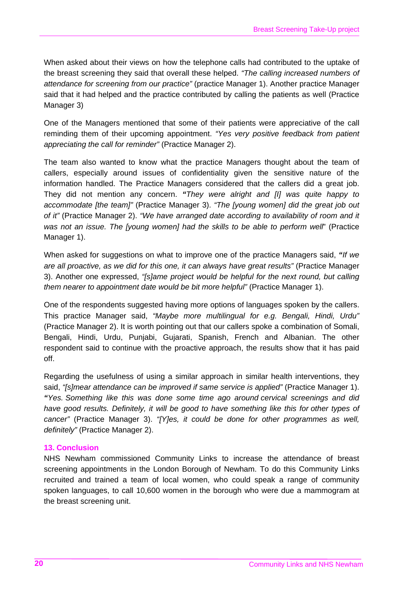When asked about their views on how the telephone calls had contributed to the uptake of the breast screening they said that overall these helped. *"The calling increased numbers of attendance for screening from our practice"* (practice Manager 1). Another practice Manager said that it had helped and the practice contributed by calling the patients as well (Practice Manager 3)

One of the Managers mentioned that some of their patients were appreciative of the call reminding them of their upcoming appointment. *"Yes very positive feedback from patient appreciating the call for reminder"* (Practice Manager 2).

The team also wanted to know what the practice Managers thought about the team of callers, especially around issues of confidentiality given the sensitive nature of the information handled. The Practice Managers considered that the callers did a great job. They did not mention any concern. *"They were alright and [I] was quite happy to accommodate [the team]"* (Practice Manager 3). *"The [young women] did the great job out of it"* (Practice Manager 2). *"We have arranged date according to availability of room and it was not an issue. The [young women] had the skills to be able to perform well*" (Practice Manager 1).

When asked for suggestions on what to improve one of the practice Managers said, *"If we are all proactive, as we did for this one, it can always have great results"* (Practice Manager 3). Another one expressed, *"[s]ame project would be helpful for the next round, but calling them nearer to appointment date would be bit more helpful"* (Practice Manager 1).

One of the respondents suggested having more options of languages spoken by the callers. This practice Manager said, *"Maybe more multilingual for e.g. Bengali, Hindi, Urdu"*  (Practice Manager 2). It is worth pointing out that our callers spoke a combination of Somali, Bengali, Hindi, Urdu, Punjabi, Gujarati, Spanish, French and Albanian. The other respondent said to continue with the proactive approach, the results show that it has paid off.

Regarding the usefulness of using a similar approach in similar health interventions, they said, *"[s]mear attendance can be improved if same service is applied"* (Practice Manager 1). *"Yes. Something like this was done some time ago around cervical screenings and did have good results. Definitely, it will be good to have something like this for other types of cancer"* (Practice Manager 3). *"[Y]es, it could be done for other programmes as well, definitely"* (Practice Manager 2).

#### **13. Conclusion**

NHS Newham commissioned Community Links to increase the attendance of breast screening appointments in the London Borough of Newham. To do this Community Links recruited and trained a team of local women, who could speak a range of community spoken languages, to call 10,600 women in the borough who were due a mammogram at the breast screening unit.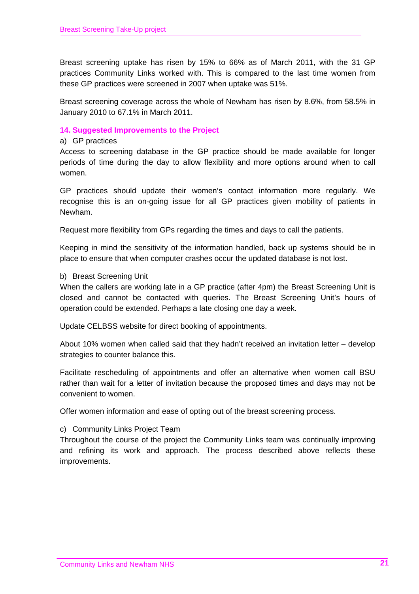Breast screening uptake has risen by 15% to 66% as of March 2011, with the 31 GP practices Community Links worked with. This is compared to the last time women from these GP practices were screened in 2007 when uptake was 51%.

Breast screening coverage across the whole of Newham has risen by 8.6%, from 58.5% in January 2010 to 67.1% in March 2011.

#### **14. Suggested Improvements to the Project**

#### a) GP practices

Access to screening database in the GP practice should be made available for longer periods of time during the day to allow flexibility and more options around when to call women.

GP practices should update their women's contact information more regularly. We recognise this is an on-going issue for all GP practices given mobility of patients in Newham.

Request more flexibility from GPs regarding the times and days to call the patients.

Keeping in mind the sensitivity of the information handled, back up systems should be in place to ensure that when computer crashes occur the updated database is not lost.

#### b) Breast Screening Unit

When the callers are working late in a GP practice (after 4pm) the Breast Screening Unit is closed and cannot be contacted with queries. The Breast Screening Unit's hours of operation could be extended. Perhaps a late closing one day a week.

Update CELBSS website for direct booking of appointments.

About 10% women when called said that they hadn't received an invitation letter – develop strategies to counter balance this.

Facilitate rescheduling of appointments and offer an alternative when women call BSU rather than wait for a letter of invitation because the proposed times and days may not be convenient to women.

Offer women information and ease of opting out of the breast screening process.

#### c) Community Links Project Team

Throughout the course of the project the Community Links team was continually improving and refining its work and approach. The process described above reflects these improvements.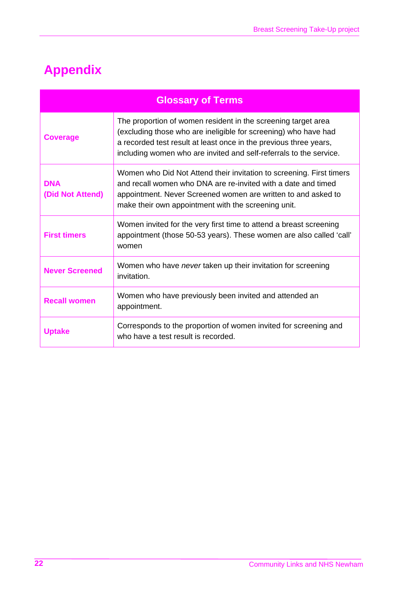## **Appendix**

| <b>Glossary of Terms</b>       |                                                                                                                                                                                                                                                                             |  |
|--------------------------------|-----------------------------------------------------------------------------------------------------------------------------------------------------------------------------------------------------------------------------------------------------------------------------|--|
| <b>Coverage</b>                | The proportion of women resident in the screening target area<br>(excluding those who are ineligible for screening) who have had<br>a recorded test result at least once in the previous three years,<br>including women who are invited and self-referrals to the service. |  |
| <b>DNA</b><br>(Did Not Attend) | Women who Did Not Attend their invitation to screening. First timers<br>and recall women who DNA are re-invited with a date and timed<br>appointment. Never Screened women are written to and asked to<br>make their own appointment with the screening unit.               |  |
| <b>First timers</b>            | Women invited for the very first time to attend a breast screening<br>appointment (those 50-53 years). These women are also called 'call'<br>women                                                                                                                          |  |
| <b>Never Screened</b>          | Women who have never taken up their invitation for screening<br>invitation.                                                                                                                                                                                                 |  |
| <b>Recall women</b>            | Women who have previously been invited and attended an<br>appointment.                                                                                                                                                                                                      |  |
| <b>Uptake</b>                  | Corresponds to the proportion of women invited for screening and<br>who have a test result is recorded.                                                                                                                                                                     |  |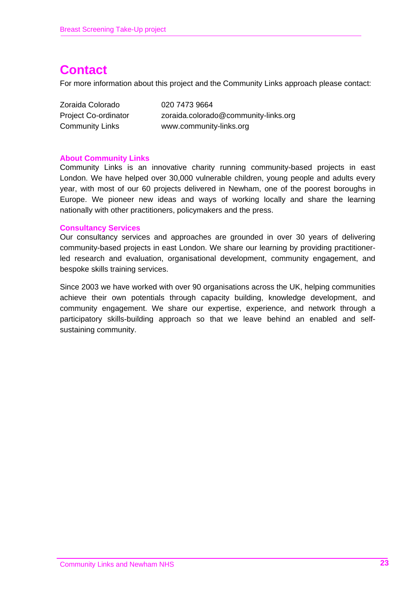### **Contact**

For more information about this project and the Community Links approach please contact:

| Zoraida Colorado            | 020 7473 9664                        |
|-----------------------------|--------------------------------------|
| <b>Project Co-ordinator</b> | zoraida.colorado@community-links.org |
| Community Links             | www.community-links.org              |

#### **About Community Links**

Community Links is an innovative charity running community-based projects in east London. We have helped over 30,000 vulnerable children, young people and adults every year, with most of our 60 projects delivered in Newham, one of the poorest boroughs in Europe. We pioneer new ideas and ways of working locally and share the learning nationally with other practitioners, policymakers and the press.

#### **Consultancy Services**

Our consultancy services and approaches are grounded in over 30 years of delivering community-based projects in east London. We share our learning by providing practitionerled research and evaluation, organisational development, community engagement, and bespoke skills training services.

Since 2003 we have worked with over 90 organisations across the UK, helping communities achieve their own potentials through capacity building, knowledge development, and community engagement. We share our expertise, experience, and network through a participatory skills-building approach so that we leave behind an enabled and selfsustaining community.